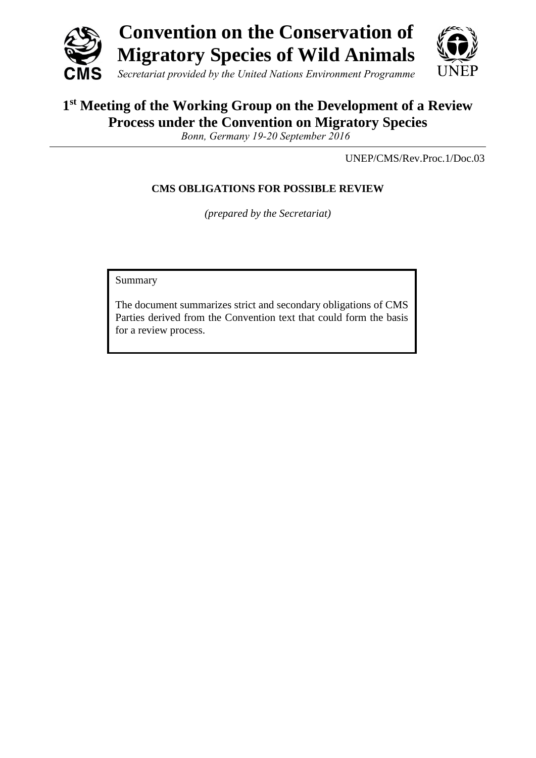

# **1 st Meeting of the Working Group on the Development of a Review Process under the Convention on Migratory Species**

*Bonn, Germany 19-20 September 2016*

UNEP/CMS/Rev.Proc.1/Doc.03

## **CMS OBLIGATIONS FOR POSSIBLE REVIEW**

*(prepared by the Secretariat)*

Summary

The document summarizes strict and secondary obligations of CMS Parties derived from the Convention text that could form the basis for a review process.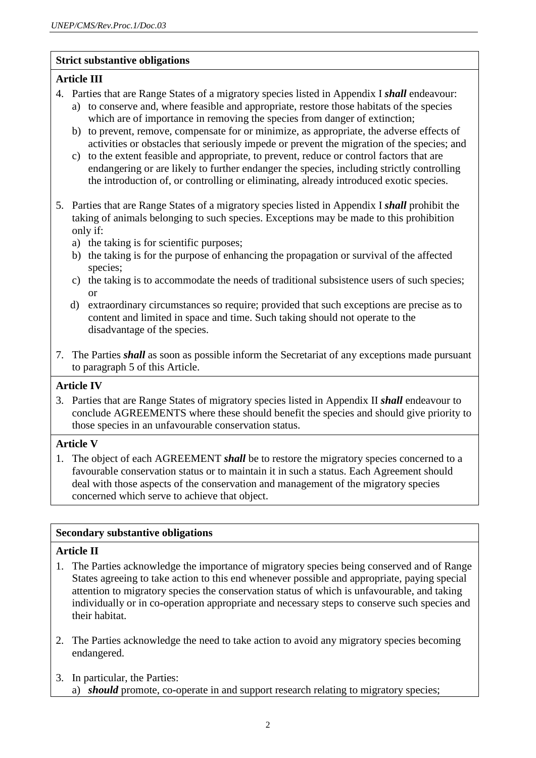#### **Strict substantive obligations**

#### **Article III**

- 4. Parties that are Range States of a migratory species listed in Appendix I *shall* endeavour:
	- a) to conserve and, where feasible and appropriate, restore those habitats of the species which are of importance in removing the species from danger of extinction;
	- b) to prevent, remove, compensate for or minimize, as appropriate, the adverse effects of activities or obstacles that seriously impede or prevent the migration of the species; and
	- c) to the extent feasible and appropriate, to prevent, reduce or control factors that are endangering or are likely to further endanger the species, including strictly controlling the introduction of, or controlling or eliminating, already introduced exotic species.
- 5. Parties that are Range States of a migratory species listed in Appendix I *shall* prohibit the taking of animals belonging to such species. Exceptions may be made to this prohibition only if:
	- a) the taking is for scientific purposes;
	- b) the taking is for the purpose of enhancing the propagation or survival of the affected species;
	- c) the taking is to accommodate the needs of traditional subsistence users of such species; or
	- d) extraordinary circumstances so require; provided that such exceptions are precise as to content and limited in space and time. Such taking should not operate to the disadvantage of the species.
- 7. The Parties *shall* as soon as possible inform the Secretariat of any exceptions made pursuant to paragraph 5 of this Article.

### **Article IV**

3. Parties that are Range States of migratory species listed in Appendix II *shall* endeavour to conclude AGREEMENTS where these should benefit the species and should give priority to those species in an unfavourable conservation status.

#### **Article V**

1. The object of each AGREEMENT *shall* be to restore the migratory species concerned to a favourable conservation status or to maintain it in such a status. Each Agreement should deal with those aspects of the conservation and management of the migratory species concerned which serve to achieve that object.

### **Secondary substantive obligations**

#### **Article II**

- 1. The Parties acknowledge the importance of migratory species being conserved and of Range States agreeing to take action to this end whenever possible and appropriate, paying special attention to migratory species the conservation status of which is unfavourable, and taking individually or in co-operation appropriate and necessary steps to conserve such species and their habitat.
- 2. The Parties acknowledge the need to take action to avoid any migratory species becoming endangered.
- 3. In particular, the Parties: a) *should* promote, co-operate in and support research relating to migratory species;